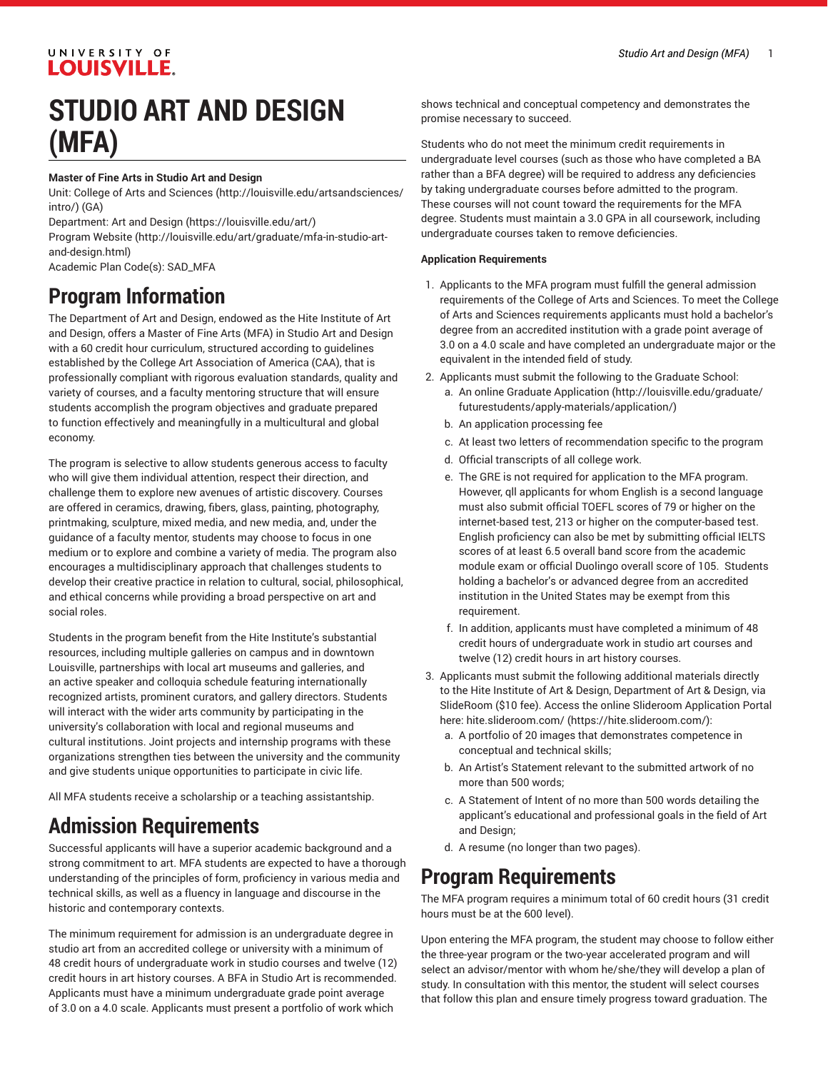### UNIVERSITY OF **LOUISVILLE.**

# **STUDIO ART AND DESIGN (MFA)**

#### **Master of Fine Arts in Studio Art and Design**

Unit: College of Arts and [Sciences \(http://louisville.edu/artsandsciences/](http://louisville.edu/artsandsciences/intro/) [intro/\)](http://louisville.edu/artsandsciences/intro/) (GA)

Department: Art and [Design](https://louisville.edu/art/) [\(https://louisville.edu/art/](https://louisville.edu/art/))

[Program](http://louisville.edu/art/graduate/mfa-in-studio-art-and-design.html) Website [\(http://louisville.edu/art/graduate/mfa-in-studio-art](http://louisville.edu/art/graduate/mfa-in-studio-art-and-design.html)[and-design.html](http://louisville.edu/art/graduate/mfa-in-studio-art-and-design.html))

Academic Plan Code(s): SAD\_MFA

# **Program Information**

The Department of Art and Design, endowed as the Hite Institute of Art and Design, offers a Master of Fine Arts (MFA) in Studio Art and Design with a 60 credit hour curriculum, structured according to guidelines established by the College Art Association of America (CAA), that is professionally compliant with rigorous evaluation standards, quality and variety of courses, and a faculty mentoring structure that will ensure students accomplish the program objectives and graduate prepared to function effectively and meaningfully in a multicultural and global economy.

The program is selective to allow students generous access to faculty who will give them individual attention, respect their direction, and challenge them to explore new avenues of artistic discovery. Courses are offered in ceramics, drawing, fibers, glass, painting, photography, printmaking, sculpture, mixed media, and new media, and, under the guidance of a faculty mentor, students may choose to focus in one medium or to explore and combine a variety of media. The program also encourages a multidisciplinary approach that challenges students to develop their creative practice in relation to cultural, social, philosophical, and ethical concerns while providing a broad perspective on art and social roles.

Students in the program benefit from the Hite Institute's substantial resources, including multiple galleries on campus and in downtown Louisville, partnerships with local art museums and galleries, and an active speaker and colloquia schedule featuring internationally recognized artists, prominent curators, and gallery directors. Students will interact with the wider arts community by participating in the university's collaboration with local and regional museums and cultural institutions. Joint projects and internship programs with these organizations strengthen ties between the university and the community and give students unique opportunities to participate in civic life.

All MFA students receive a scholarship or a teaching assistantship.

# **Admission Requirements**

Successful applicants will have a superior academic background and a strong commitment to art. MFA students are expected to have a thorough understanding of the principles of form, proficiency in various media and technical skills, as well as a fluency in language and discourse in the historic and contemporary contexts.

The minimum requirement for admission is an undergraduate degree in studio art from an accredited college or university with a minimum of 48 credit hours of undergraduate work in studio courses and twelve (12) credit hours in art history courses. A BFA in Studio Art is recommended. Applicants must have a minimum undergraduate grade point average of 3.0 on a 4.0 scale. Applicants must present a portfolio of work which

shows technical and conceptual competency and demonstrates the promise necessary to succeed.

Students who do not meet the minimum credit requirements in undergraduate level courses (such as those who have completed a BA rather than a BFA degree) will be required to address any deficiencies by taking undergraduate courses before admitted to the program. These courses will not count toward the requirements for the MFA degree. Students must maintain a 3.0 GPA in all coursework, including undergraduate courses taken to remove deficiencies.

#### **Application Requirements**

- 1. Applicants to the MFA program must fulfill the general admission requirements of the College of Arts and Sciences. To meet the College of Arts and Sciences requirements applicants must hold a bachelor's degree from an accredited institution with a grade point average of 3.0 on a 4.0 scale and have completed an undergraduate major or the equivalent in the intended field of study.
- 2. Applicants must submit the following to the Graduate School: a. An [online Graduate Application \(http://louisville.edu/graduate/](http://louisville.edu/graduate/futurestudents/apply-materials/application/) [futurestudents/apply-materials/application/\)](http://louisville.edu/graduate/futurestudents/apply-materials/application/)
	- b. An application processing fee
	- c. At least two letters of recommendation specific to the program
	- d. Official transcripts of all college work.
	- e. The GRE is not required for application to the MFA program. However, qll applicants for whom English is a second language must also submit official TOEFL scores of 79 or higher on the internet-based test, 213 or higher on the computer-based test. English proficiency can also be met by submitting official IELTS scores of at least 6.5 overall band score from the academic module exam or official Duolingo overall score of 105. Students holding a bachelor's or advanced degree from an accredited institution in the United States may be exempt from this requirement.
	- f. In addition, applicants must have completed a minimum of 48 credit hours of undergraduate work in studio art courses and twelve (12) credit hours in art history courses.
- 3. Applicants must submit the following additional materials directly to the Hite Institute of Art & Design, Department of Art & Design, via SlideRoom (\$10 fee). Access the online Slideroom Application Portal here: [hite.slideroom.com/ \(https://hite.slideroom.com/](https://hite.slideroom.com/)):
	- a. A portfolio of 20 images that demonstrates competence in conceptual and technical skills;
	- b. An Artist's Statement relevant to the submitted artwork of no more than 500 words;
	- c. A Statement of Intent of no more than 500 words detailing the applicant's educational and professional goals in the field of Art and Design;
	- d. A resume (no longer than two pages).

## **Program Requirements**

The MFA program requires a minimum total of 60 credit hours (31 credit hours must be at the 600 level).

Upon entering the MFA program, the student may choose to follow either the three-year program or the two-year accelerated program and will select an advisor/mentor with whom he/she/they will develop a plan of study. In consultation with this mentor, the student will select courses that follow this plan and ensure timely progress toward graduation. The